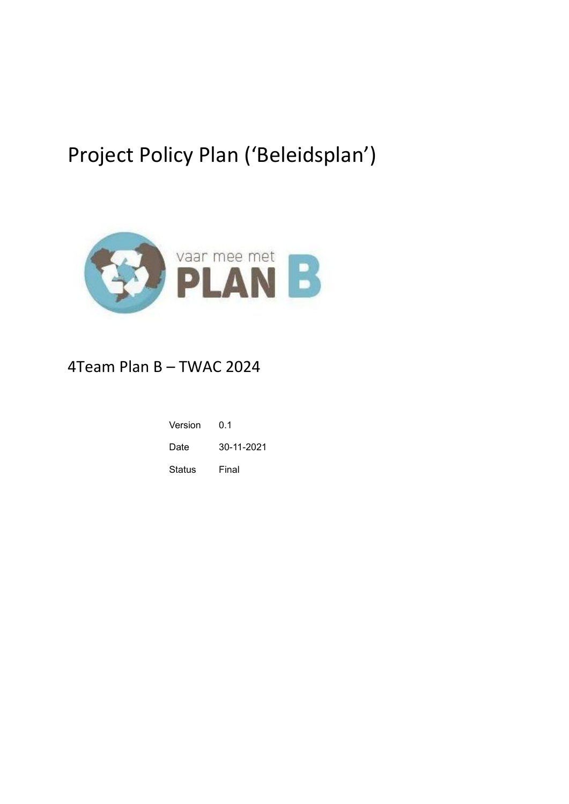# Project Policy Plan ('Beleidsplan')



# 4Team Plan B – TWAC 2024

| Version | ი 1        |
|---------|------------|
| Date    | 30-11-2021 |
| Status  | Final      |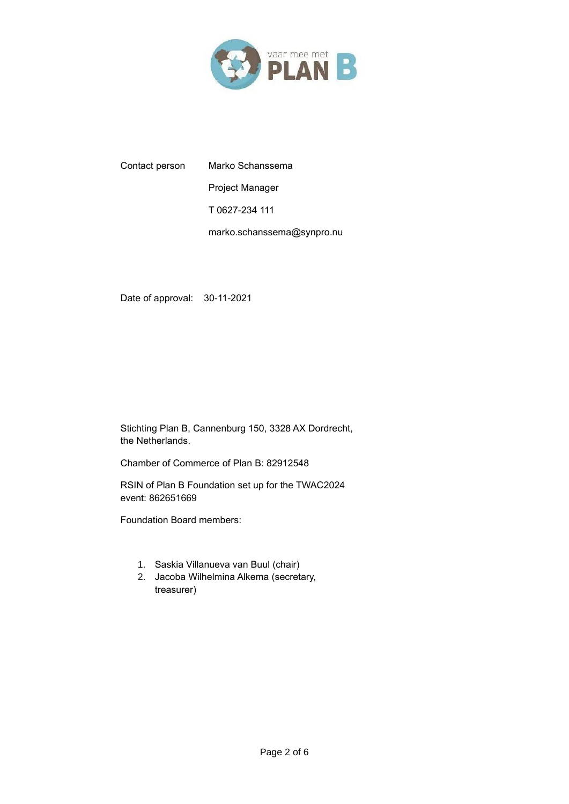

Contact person Marko Schanssema Project Manager T 0627-234 111 marko.schanssema@synpro.nu

Date of approval: 30-11-2021

Stichting Plan B, Cannenburg 150, 3328 AX Dordrecht, the Netherlands.

Chamber of Commerce of Plan B: 82912548

RSIN of Plan B Foundation set up for the TWAC2024 event: 862651669

Foundation Board members:

- 1. Saskia Villanueva van Buul (chair)
- 2. Jacoba Wilhelmina Alkema (secretary, treasurer)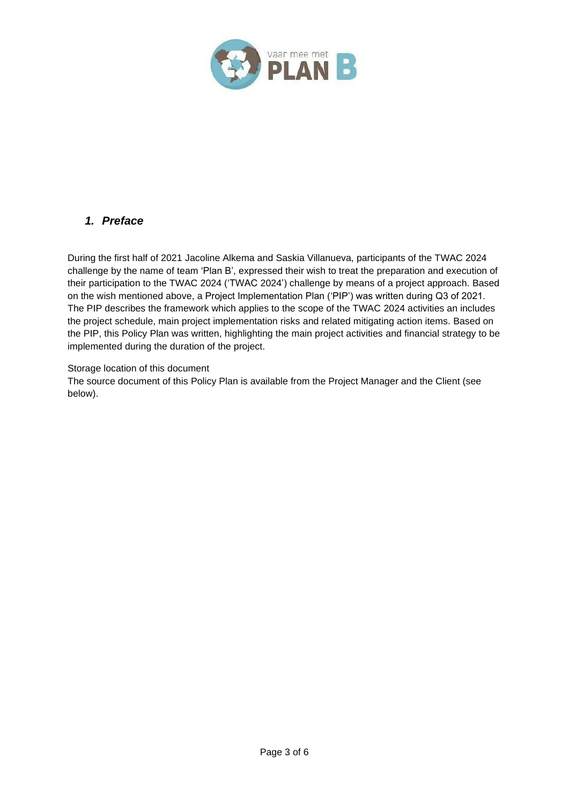

# <span id="page-2-0"></span>*1. Preface*

During the first half of 2021 Jacoline Alkema and Saskia Villanueva, participants of the TWAC 2024 challenge by the name of team 'Plan B', expressed their wish to treat the preparation and execution of their participation to the TWAC 2024 ('TWAC 2024') challenge by means of a project approach. Based on the wish mentioned above, a Project Implementation Plan ('PIP') was written during Q3 of 2021. The PIP describes the framework which applies to the scope of the TWAC 2024 activities an includes the project schedule, main project implementation risks and related mitigating action items. Based on the PIP, this Policy Plan was written, highlighting the main project activities and financial strategy to be implemented during the duration of the project.

#### Storage location of this document

The source document of this Policy Plan is available from the Project Manager and the Client (see below).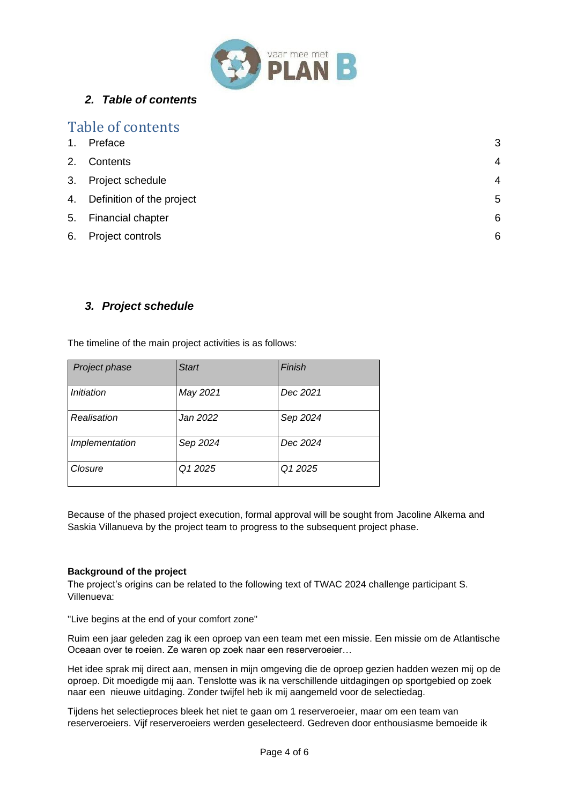

# <span id="page-3-0"></span>*2. Table of contents*

|    | Table of contents            |                |
|----|------------------------------|----------------|
| 1. | Preface                      | 3              |
| 2. | Contents                     | $\overline{4}$ |
|    | 3. Project schedule          | $\overline{4}$ |
|    | 4. Definition of the project | 5              |
|    | 5. Financial chapter         | 6              |
| 6. | Project controls             | 6              |

# <span id="page-3-1"></span>*3. Project schedule*

The timeline of the main project activities is as follows:

| Project phase  | <b>Start</b> | Finish   |
|----------------|--------------|----------|
| Initiation     | May 2021     | Dec 2021 |
| Realisation    | Jan 2022     | Sep 2024 |
| Implementation | Sep 2024     | Dec 2024 |
| Closure        | Q1 2025      | Q1 2025  |

Because of the phased project execution, formal approval will be sought from Jacoline Alkema and Saskia Villanueva by the project team to progress to the subsequent project phase.

#### **Background of the project**

The project's origins can be related to the following text of TWAC 2024 challenge participant S. Villenueva:

"Live begins at the end of your comfort zone"

Ruim een jaar geleden zag ik een oproep van een team met een missie. Een missie om de Atlantische Oceaan over te roeien. Ze waren op zoek naar een reserveroeier…

Het idee sprak mij direct aan, mensen in mijn omgeving die de oproep gezien hadden wezen mij op de oproep. Dit moedigde mij aan. Tenslotte was ik na verschillende uitdagingen op sportgebied op zoek naar een nieuwe uitdaging. Zonder twijfel heb ik mij aangemeld voor de selectiedag.

Tijdens het selectieproces bleek het niet te gaan om 1 reserveroeier, maar om een team van reserveroeiers. Vijf reserveroeiers werden geselecteerd. Gedreven door enthousiasme bemoeide ik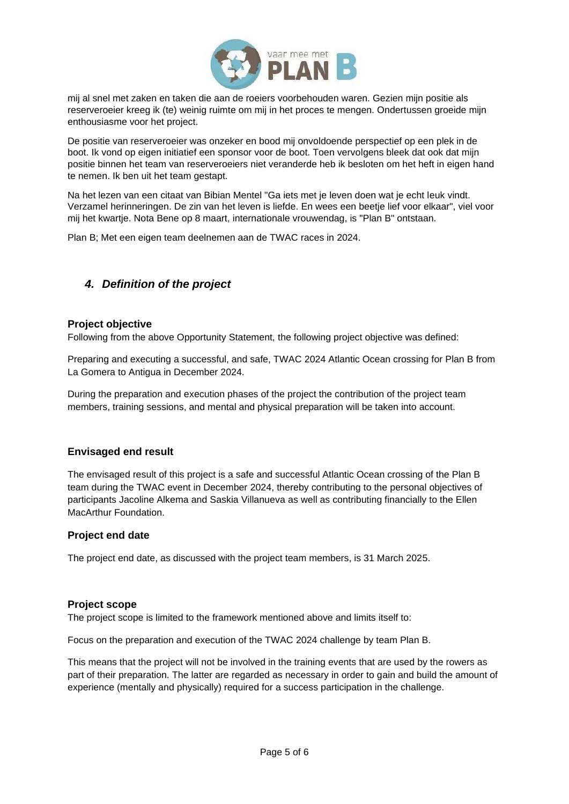

mij al snel met zaken en taken die aan de roeiers voorbehouden waren. Gezien mijn positie als reserveroeier kreeg ik (te) weinig ruimte om mij in het proces te mengen. Ondertussen groeide mijn enthousiasme voor het project.

De positie van reserveroeier was onzeker en bood mij onvoldoende perspectief op een plek in de boot. Ik vond op eigen initiatief een sponsor voor de boot. Toen vervolgens bleek dat ook dat mijn positie binnen het team van reserveroeiers niet veranderde heb ik besloten om het heft in eigen hand te nemen. Ik ben uit het team gestapt.

Na het lezen van een citaat van Bibian Mentel "Ga iets met je leven doen wat je echt leuk vindt. Verzamel herinneringen. De zin van het leven is liefde. En wees een beetje lief voor elkaar", viel voor mij het kwartje. Nota Bene op 8 maart, internationale vrouwendag, is "Plan B" ontstaan.

Plan B; Met een eigen team deelnemen aan de TWAC races in 2024.

# <span id="page-4-0"></span>*4. Definition of the project*

#### **Project objective**

Following from the above Opportunity Statement, the following project objective was defined:

Preparing and executing a successful, and safe, TWAC 2024 Atlantic Ocean crossing for Plan B from La Gomera to Antigua in December 2024.

During the preparation and execution phases of the project the contribution of the project team members, training sessions, and mental and physical preparation will be taken into account.

#### **Envisaged end result**

The envisaged result of this project is a safe and successful Atlantic Ocean crossing of the Plan B team during the TWAC event in December 2024, thereby contributing to the personal objectives of participants Jacoline Alkema and Saskia Villanueva as well as contributing financially to the Ellen MacArthur Foundation.

#### **Project end date**

The project end date, as discussed with the project team members, is 31 March 2025.

#### **Project scope**

The project scope is limited to the framework mentioned above and limits itself to:

Focus on the preparation and execution of the TWAC 2024 challenge by team Plan B.

This means that the project will not be involved in the training events that are used by the rowers as part of their preparation. The latter are regarded as necessary in order to gain and build the amount of experience (mentally and physically) required for a success participation in the challenge.